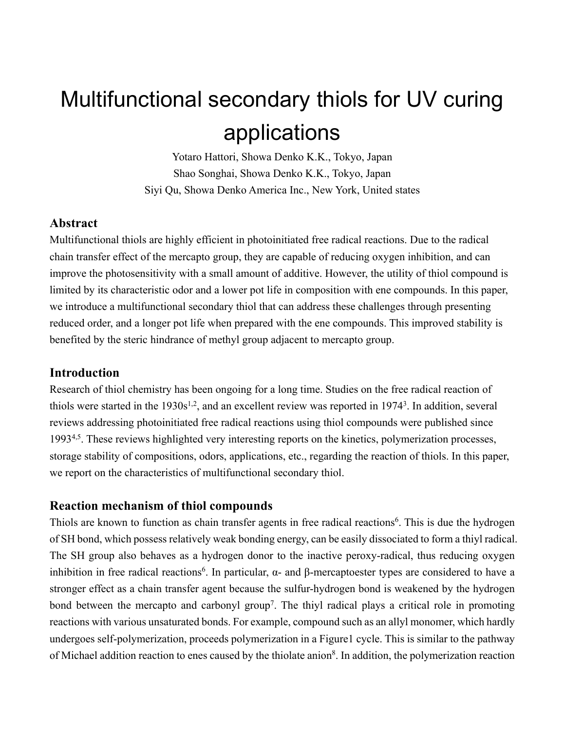# Multifunctional secondary thiols for UV curing applications

Yotaro Hattori, Showa Denko K.K., Tokyo, Japan Shao Songhai, Showa Denko K.K., Tokyo, Japan Siyi Qu, Showa Denko America Inc., New York, United states

## **Abstract**

Multifunctional thiols are highly efficient in photoinitiated free radical reactions. Due to the radical chain transfer effect of the mercapto group, they are capable of reducing oxygen inhibition, and can improve the photosensitivity with a small amount of additive. However, the utility of thiol compound is limited by its characteristic odor and a lower pot life in composition with ene compounds. In this paper, we introduce a multifunctional secondary thiol that can address these challenges through presenting reduced order, and a longer pot life when prepared with the ene compounds. This improved stability is benefited by the steric hindrance of methyl group adjacent to mercapto group.

### **Introduction**

Research of thiol chemistry has been ongoing for a long time. Studies on the free radical reaction of thiols were started in the  $1930s^{1,2}$ , and an excellent review was reported in  $1974<sup>3</sup>$ . In addition, several reviews addressing photoinitiated free radical reactions using thiol compounds were published since 1993<sup>4,5</sup>. These reviews highlighted very interesting reports on the kinetics, polymerization processes, storage stability of compositions, odors, applications, etc., regarding the reaction of thiols. In this paper, we report on the characteristics of multifunctional secondary thiol.

## **Reaction mechanism of thiol compounds**

Thiols are known to function as chain transfer agents in free radical reactions<sup>6</sup>. This is due the hydrogen of SH bond, which possess relatively weak bonding energy, can be easily dissociated to form a thiyl radical. The SH group also behaves as a hydrogen donor to the inactive peroxy-radical, thus reducing oxygen inhibition in free radical reactions<sup>6</sup>. In particular,  $\alpha$ - and  $\beta$ -mercaptoester types are considered to have a stronger effect as a chain transfer agent because the sulfur-hydrogen bond is weakened by the hydrogen bond between the mercapto and carbonyl group<sup>7</sup>. The thiyl radical plays a critical role in promoting reactions with various unsaturated bonds. For example, compound such as an allyl monomer, which hardly undergoes self-polymerization, proceeds polymerization in a Figure1 cycle. This is similar to the pathway of Michael addition reaction to enes caused by the thiolate anion<sup>8</sup>. In addition, the polymerization reaction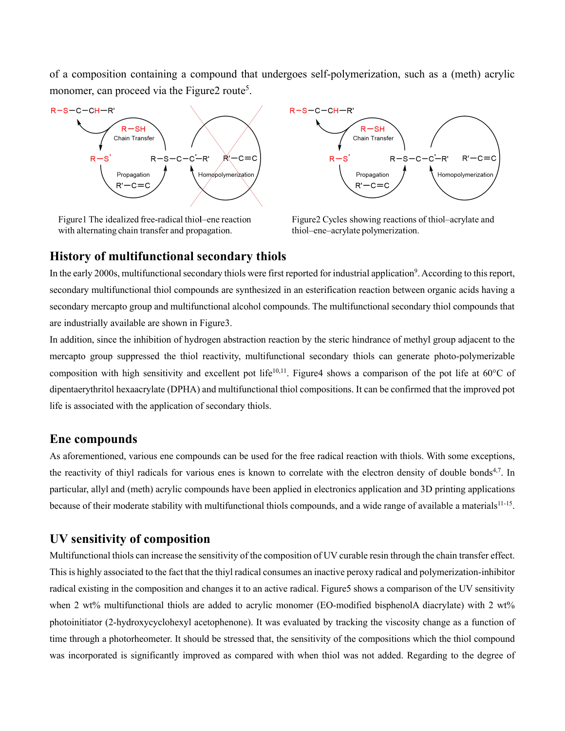of a composition containing a compound that undergoes self-polymerization, such as a (meth) acrylic monomer, can proceed via the Figure2 route<sup>5</sup>.



Figure 1 The idealized free-radical thiol-ene reaction with alternating chain transfer and propagation.



Figure2 Cycles showing reactions of thiol–acrylate and thiol-ene-acrylate polymerization.

### **History of multifunctional secondary thiols**

In the early 2000s, multifunctional secondary thiols were first reported for industrial application<sup>9</sup>. According to this report, secondary multifunctional thiol compounds are synthesized in an esterification reaction between organic acids having a secondary mercapto group and multifunctional alcohol compounds. The multifunctional secondary thiol compounds that are industrially available are shown in Figure3.

In addition, since the inhibition of hydrogen abstraction reaction by the steric hindrance of methyl group adjacent to the mercapto group suppressed the thiol reactivity, multifunctional secondary thiols can generate photo-polymerizable composition with high sensitivity and excellent pot life<sup>10,11</sup>. Figure4 shows a comparison of the pot life at  $60^{\circ}$ C of dipentaerythritol hexaacrylate (DPHA) and multifunctional thiol compositions. It can be confirmed that the improved pot life is associated with the application of secondary thiols.

#### **Ene compounds**

As aforementioned, various ene compounds can be used for the free radical reaction with thiols. With some exceptions, the reactivity of thiyl radicals for various enes is known to correlate with the electron density of double bonds<sup>4,7</sup>. In particular, allyl and (meth) acrylic compounds have been applied in electronics application and 3D printing applications because of their moderate stability with multifunctional thiols compounds, and a wide range of available a materials<sup>11-15</sup>.

## **UV sensitivity of composition**

Multifunctional thiols can increase the sensitivity of the composition of UV curable resin through the chain transfer effect. This is highly associated to the fact that the thiyl radical consumes an inactive peroxy radical and polymerization-inhibitor radical existing in the composition and changes it to an active radical. Figure5 shows a comparison of the UV sensitivity when 2 wt% multifunctional thiols are added to acrylic monomer (EO-modified bisphenolA diacrylate) with 2 wt% photoinitiator (2-hydroxycyclohexyl acetophenone). It was evaluated by tracking the viscosity change as a function of time through a photorheometer. It should be stressed that, the sensitivity of the compositions which the thiol compound was incorporated is significantly improved as compared with when thiol was not added. Regarding to the degree of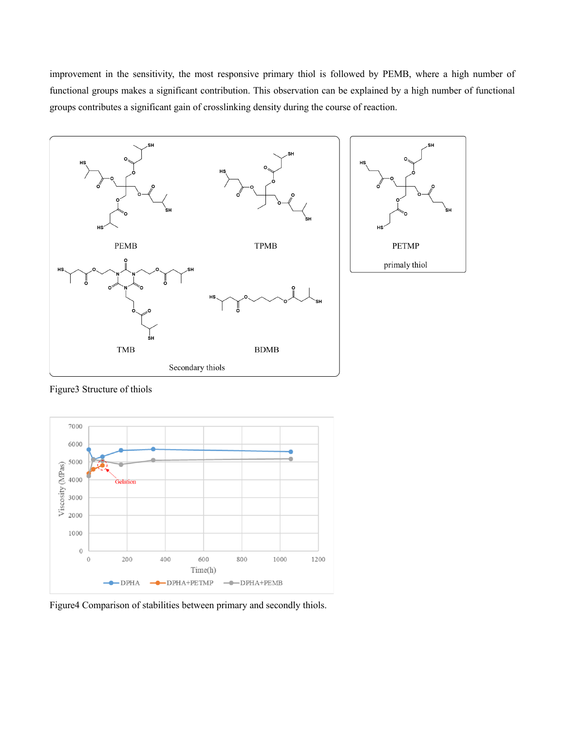improvement in the sensitivity, the most responsive primary thiol is followed by PEMB, where a high number of functional groups makes a significant contribution. This observation can be explained by a high number of functional groups contributes a significant gain of crosslinking density during the course of reaction.



Figure3 Structure of thiols



Figure4 Comparison of stabilities between primary and secondly thiols.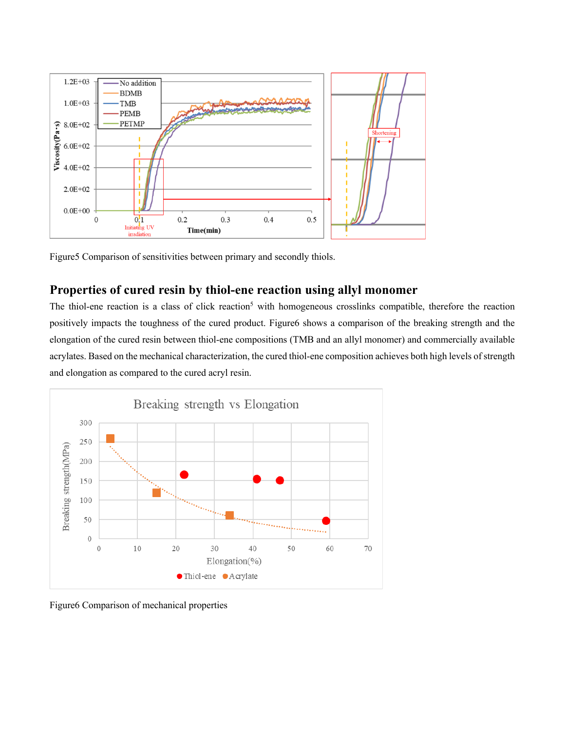

Figure5 Comparison of sensitivities between primary and secondly thiols.

# **Properties of cured resin by thiol-ene reaction using allyl monomer**

The thiol-ene reaction is a class of click reaction<sup>5</sup> with homogeneous crosslinks compatible, therefore the reaction positively impacts the toughness of the cured product. Figure6 shows a comparison of the breaking strength and the elongation of the cured resin between thiol-ene compositions (TMB and an allyl monomer) and commercially available acrylates. Based on the mechanical characterization, the cured thiol-ene composition achieves both high levels of strength and elongation as compared to the cured acryl resin.



Figure6 Comparison of mechanical properties